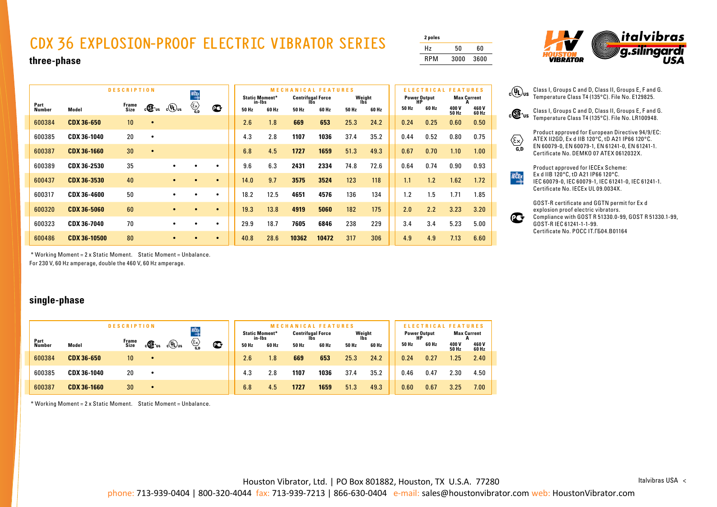## **CDX 36 EXPLOSION-PROOF ELECTRIC VIBRATOR SERIES**

| 2 poles |      |      |
|---------|------|------|
| Hz      | 50   | 60   |
| RPM     | 3000 | 3600 |



#### **three-phase**

| <b>DESCRIPTION</b><br>KČE |               |                     |                 |                    |           |                                             |             |        |                       | <b>MECHANICAL FEATURES</b> |       |               |       |                           | <b>ELECTRICAL</b> | <b>FEATURES</b> |                    |
|---------------------------|---------------|---------------------|-----------------|--------------------|-----------|---------------------------------------------|-------------|--------|-----------------------|----------------------------|-------|---------------|-------|---------------------------|-------------------|-----------------|--------------------|
|                           | Part          |                     | Frame<br>Size   | $c \mathbf{G}$ ius | $c(U)$ us | $\left\langle \sum_{\mathbf{G},\mathbf{D}}$ | $\mathbf C$ | in-Ibs | <b>Static Moment*</b> | <b>Centrifugal Force</b>   |       | Weight<br>lbš |       | <b>Power Output</b><br>НP |                   |                 | <b>Max Current</b> |
|                           | <b>Number</b> | Model               |                 |                    |           |                                             |             | 50 Hz  | 60 Hz                 | 50 Hz                      | 60 Hz | 50 Hz         | 60 Hz | 50 Hz                     | 60 Hz             | 400 V<br>50 Hz  | 460 V<br>60 Hz     |
|                           | 600384        | <b>CDX 36-650</b>   | 10 <sup>1</sup> | $\bullet$          |           |                                             |             | 2.6    | 1.8                   | 669                        | 653   | 25.3          | 24.2  | 0.24                      | 0.25              | 0.60            | 0.50               |
|                           | 600385        | CDX 36-1040         | 20              | ٠                  |           |                                             |             | 4.3    | 2.8                   | 1107                       | 1036  | 37.4          | 35.2  | 0.44                      | 0.52              | 0.80            | 0.75               |
|                           | 600387        | <b>CDX 36-1660</b>  | 30              | $\bullet$          |           |                                             |             | 6.8    | 4.5                   | 1727                       | 1659  | 51.3          | 49.3  | 0.67                      | 0.70              | 1.10            | 1.00               |
|                           | 600389        | CDX 36-2530         | 35              |                    |           |                                             | $\bullet$   | 9.6    | 6.3                   | 2431                       | 2334  | 74.8          | 72.6  | 0.64                      | 0.74              | 0.90            | 0.93               |
|                           | 600437        | CDX 36-3530         | 40              |                    |           |                                             | $\bullet$   | 14.0   | 9.7                   | 3575                       | 3524  | 123           | 118   | 1.1                       | 1.2               | 1.62            | 1.72               |
|                           | 600317        | CDX 36-4600         | 50              |                    | ٠         | $\bullet$                                   | $\bullet$   | 18.2   | 12.5                  | 4651                       | 4576  | 136           | 134   | 1.2                       | 1.5               | 1.71            | 1.85               |
|                           | 600320        | <b>CDX 36-5060</b>  | 60              |                    | $\bullet$ | $\bullet$                                   | $\bullet$   | 19.3   | 13.8                  | 4919                       | 5060  | 182           | 175   | 2.0                       | 2.2               | 3.23            | 3.20               |
|                           | 600323        | CDX 36-7040         | 70              |                    | $\bullet$ |                                             | $\bullet$   | 29.9   | 18.7                  | 7605                       | 6846  | 238           | 229   | 3.4                       | 3.4               | 5.23            | 5.00               |
|                           | 600486        | <b>CDX 36-10500</b> | 80              |                    |           |                                             | $\bullet$   | 40.8   | 28.6                  | 10362                      | 10472 | 317           | 306   | 4.9                       | 4.9               | 7.13            | 6.60               |

Class I, Groups C and D, Class II, Groups E, F and G. Temperature Class T4 (135°C). File No. LR100948.

Product approved for European Directive 94/9/EC: ATEX II2GD, Ex d IIB 120°C, tD A21 IP66 120°C. EN 60079-0, EN 60079-1, EN 61241-0, EN 61241-1.

 $\langle \overline{\xi_{\mathbf{x}}} \rangle$ Certificate No. DEMKO 07 ATEX 0612032X.

> Product approved for IECEx Scheme: Ex d IIB 120°C, tD A21 IP66 120°C. IEC 60079-0, IEC 60079-1, IEC 61241-0, IEC 61241-1. Certificate No. IECEx UL 09.0034X.



 $\frac{ECE}{4}$ 

\* Working Moment = 2 x Static Moment. Static Moment = Unbalance.

For 230 V, 60 Hz amperage, double the 460 V, 60 Hz amperage.

#### **single-phase**

| <b>DESCRIPTION</b> |                    |                 |                   |                            |                                                  |   |       |                                 | <b>MECHANICAL FEATURES</b> |       |       |               |                           | TURES |                       |                    |
|--------------------|--------------------|-----------------|-------------------|----------------------------|--------------------------------------------------|---|-------|---------------------------------|----------------------------|-------|-------|---------------|---------------------------|-------|-----------------------|--------------------|
|                    |                    |                 |                   |                            | KĆĘ                                              |   |       | <b>Static Moment*</b><br>in-Ibs | <b>Centrifugal Force</b>   |       |       | Weight<br>Ibs | <b>Power Output</b><br>HP |       |                       | <b>Max Current</b> |
| Part<br>Number     | Model              | Frame<br>Size   | $c \mathbf{G}$ is | $_{\rm c}$ (U) $_{\rm us}$ | $\overline{\mathcal{C}_{\mathbf{a},\mathbf{b}}}$ | œ | 50 Hz | 60 Hz                           | 50 Hz                      | 60 Hz | 50 Hz | 60 Hz         | 50 Hz                     | 60 Hz | 400 V<br><b>50 Hz</b> | 460 V<br>60 Hz     |
| 600384             | <b>CDX 36-650</b>  | 10 <sup>°</sup> |                   |                            |                                                  |   | 2.6   | 1.8 <sub>1</sub>                | 669                        | 653   | 25.3  | 24.2          | 0.24                      | 0.27  | .25                   | 2.40               |
| 600385             | CDX 36-1040        | 20              |                   |                            |                                                  |   | 4.3   | 2.8                             | 1107                       | 1036  | 37.4  | 35.2          | 0.46                      | 0.47  | 2.30                  | 4.50               |
| 600387             | <b>CDX 36-1660</b> | 30              |                   |                            |                                                  |   | 6.8   | 4.5                             | 1727                       | 1659  | 51.3  | 49.3          | 0.60                      | 0.67  | 3.25                  | 7.00               |

\* Working Moment = 2 x Static Moment. Static Moment = Unbalance.

Houston Vibrator, Ltd. | PO Box 801882, Houston, TX U.S.A. 77280

Italvibras USA <

phone: 713-939-0404 | 800-320-4044 fax: 713-939-7213 | 866-630-0404 e-mail: sales@houstonvibrator.com web: HoustonVibrator.com